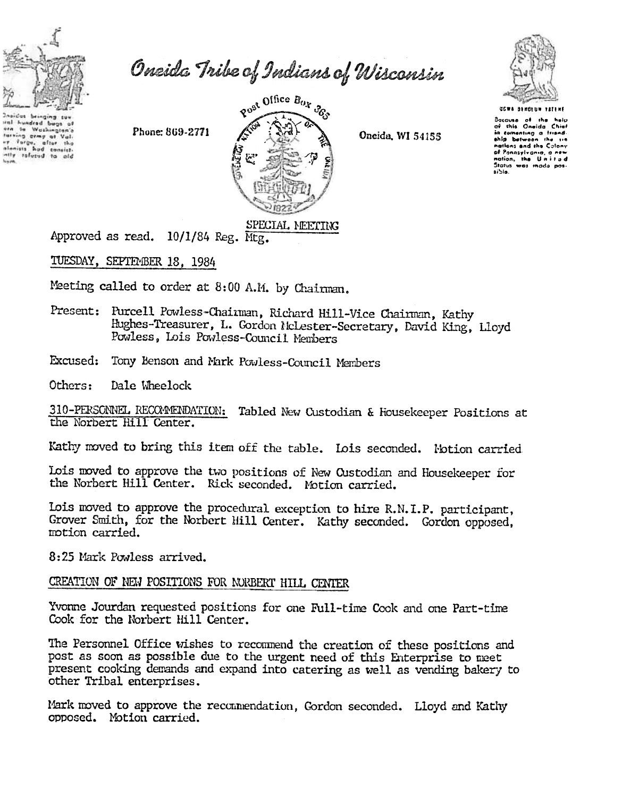

iral hundred buga af<br>ern sa Washington's

of the state of the the state of the state of the state of the state of the state of the state of the state of<br>International state of the state of the state of the state of the state of the state of the state of the state

ng crmy of Val

 $\overline{\phantom{a}}$ 

alenists

Oneida Tribe of Indians of Wisconsin

Phone: 869-2771



Oneida, WI 54155



.<br>Bocovsa of the help<br>of this Oneida Chief in tomonting a friend ship batwoon the sin nations and the Colony<br>of Ponnsylvania, a new nation, the United<br>States was mode posaible.

# SPECIAL MEETING

Approved as read. 10/1/84 Reg. Mtg.

TUESDAY, SEPTEMBER 18, 1984

Meeting called to order at 8:00 A.M. by Chairman.

- Present: Purcell Powless-Chairman, Richard Hill-Vice Chairman, Kathy Hughes-Treasurer, L. Gordon Nclester-Secretary, David King, Lloyd Powless, Lois Powless-Council Members
- Excused: Tony Benson and Mark Powless-Council Members

Others: Dale Wheelock

310-PERSONNEL RECOMMENDATION: Tabled New Custodian & Housekeeper Positions at the Norbert Hill Center.

Kathy moved to bring this item off the table. Lois seconded. Motion carried

Lois moved to approve the two positions of New Oustodian and Housekeeper for the Norbert Hill Center. Rick seconded. Motion carried.

Lois moved to approve the procedural exception to hire R.N.I.P. participant, Grover Smith, for the Norbert Hill Center. Kathy seconded. Gordon opposed, motion carried.

8:25 Mark Powless arrived.

### CREATION OF NEW POSITIONS FOR NORBERT HILL CENTER

Yvonne Jourdan requested positions for one Full-time Cook and one Part-time Cook for the Norbert Hill Center.

The Personnel Office wishes to recommend the creation of these positions and post as soon as possible due to the urgent need of this Enterprise to meet present cooking demands and expand into catering as well as vending bakery to other Tribal enterprises.

Mark moved to approve the reconnendation, Gordon seconded. Lloyd and Kathy opposed. Motion carried.